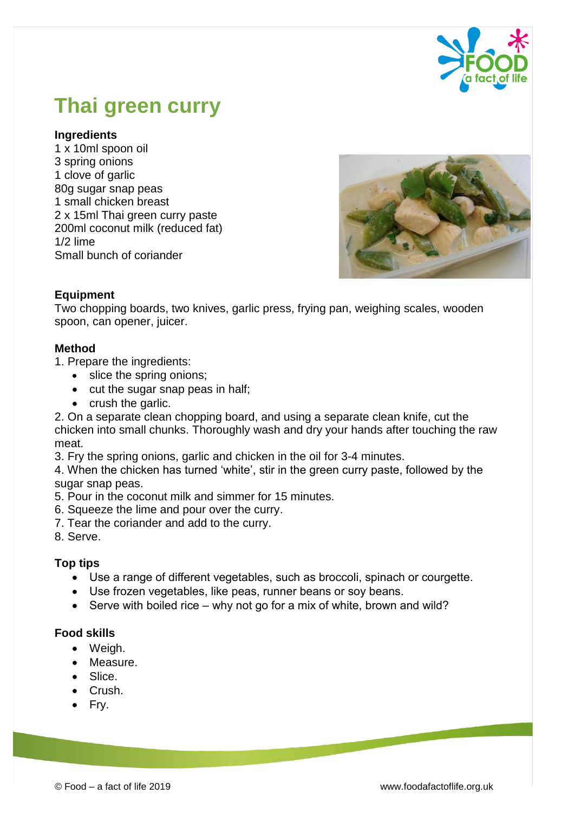

# **Thai green curry**

### **Ingredients**

1 x 10ml spoon oil 3 spring onions 1 clove of garlic 80g sugar snap peas 1 small chicken breast 2 x 15ml Thai green curry paste 200ml coconut milk (reduced fat) 1/2 lime Small bunch of coriander



## **Equipment**

Two chopping boards, two knives, garlic press, frying pan, weighing scales, wooden spoon, can opener, juicer.

#### **Method**

- 1. Prepare the ingredients:
	- slice the spring onions;
	- $\bullet$  cut the sugar snap peas in half;
	- $\bullet$  crush the garlic.
- 2. On a separate clean chopping board, and using a separate clean knife, cut the chicken into small chunks. Thoroughly wash and dry your hands after touching the raw meat.
- 3. Fry the spring onions, garlic and chicken in the oil for 3-4 minutes.
- 4. When the chicken has turned 'white', stir in the green curry paste, followed by the sugar snap peas.
- 5. Pour in the coconut milk and simmer for 15 minutes.
- 6. Squeeze the lime and pour over the curry.
- 7. Tear the coriander and add to the curry.
- 8. Serve.

## **Top tips**

- Use a range of different vegetables, such as broccoli, spinach or courgette.
- Use frozen vegetables, like peas, runner beans or soy beans.
- $\bullet$  Serve with boiled rice why not go for a mix of white, brown and wild?

#### **Food skills**

- Weigh.
- Measure.
- Slice.
- Crush.
- Fry.